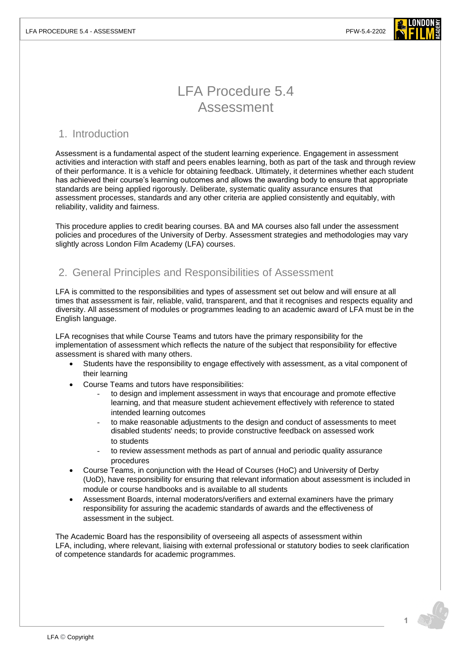

# LFA Procedure 5.4 Assessment

### 1. Introduction

Assessment is a fundamental aspect of the student learning experience. Engagement in assessment activities and interaction with staff and peers enables learning, both as part of the task and through review of their performance. It is a vehicle for obtaining feedback. Ultimately, it determines whether each student has achieved their course's learning outcomes and allows the awarding body to ensure that appropriate standards are being applied rigorously. Deliberate, systematic quality assurance ensures that assessment processes, standards and any other criteria are applied consistently and equitably, with reliability, validity and fairness.

This procedure applies to credit bearing courses. BA and MA courses also fall under the assessment policies and procedures of the University of Derby. Assessment strategies and methodologies may vary slightly across London Film Academy (LFA) courses.

# 2. General Principles and Responsibilities of Assessment

LFA is committed to the responsibilities and types of assessment set out below and will ensure at all times that assessment is fair, reliable, valid, transparent, and that it recognises and respects equality and diversity. All assessment of modules or programmes leading to an academic award of LFA must be in the English language.

LFA recognises that while Course Teams and tutors have the primary responsibility for the implementation of assessment which reflects the nature of the subject that responsibility for effective assessment is shared with many others.

- Students have the responsibility to engage effectively with assessment, as a vital component of their learning
- Course Teams and tutors have responsibilities:
	- to design and implement assessment in ways that encourage and promote effective learning, and that measure student achievement effectively with reference to stated intended learning outcomes
	- to make reasonable adjustments to the design and conduct of assessments to meet disabled students' needs; to provide constructive feedback on assessed work to students
	- to review assessment methods as part of annual and periodic quality assurance procedures
- Course Teams, in conjunction with the Head of Courses (HoC) and University of Derby (UoD), have responsibility for ensuring that relevant information about assessment is included in module or course handbooks and is available to all students
- Assessment Boards, internal moderators/verifiers and external examiners have the primary responsibility for assuring the academic standards of awards and the effectiveness of assessment in the subject.

The Academic Board has the responsibility of overseeing all aspects of assessment within LFA, including, where relevant, liaising with external professional or statutory bodies to seek clarification of competence standards for academic programmes.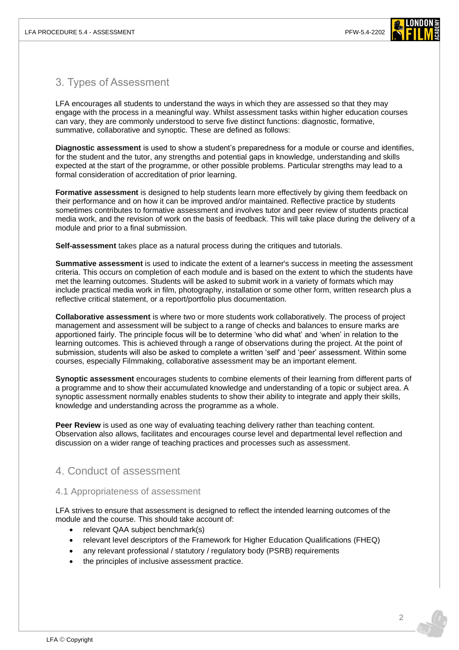

# 3. Types of Assessment

LFA encourages all students to understand the ways in which they are assessed so that they may engage with the process in a meaningful way. Whilst assessment tasks within higher education courses can vary, they are commonly understood to serve five distinct functions: diagnostic, formative, summative, collaborative and synoptic. These are defined as follows:

**Diagnostic assessment** is used to show a student's preparedness for a module or course and identifies, for the student and the tutor, any strengths and potential gaps in knowledge, understanding and skills expected at the start of the programme, or other possible problems. Particular strengths may lead to a formal consideration of accreditation of prior learning.

**Formative assessment** is designed to help students learn more effectively by giving them feedback on their performance and on how it can be improved and/or maintained. Reflective practice by students sometimes contributes to formative assessment and involves tutor and peer review of students practical media work, and the revision of work on the basis of feedback. This will take place during the delivery of a module and prior to a final submission.

**Self-assessment** takes place as a natural process during the critiques and tutorials.

**Summative assessment** is used to indicate the extent of a learner's success in meeting the assessment criteria. This occurs on completion of each module and is based on the extent to which the students have met the learning outcomes. Students will be asked to submit work in a variety of formats which may include practical media work in film, photography, installation or some other form, written research plus a reflective critical statement, or a report/portfolio plus documentation.

**Collaborative assessment** is where two or more students work collaboratively. The process of project management and assessment will be subject to a range of checks and balances to ensure marks are apportioned fairly. The principle focus will be to determine 'who did what' and 'when' in relation to the learning outcomes. This is achieved through a range of observations during the project. At the point of submission, students will also be asked to complete a written 'self' and 'peer' assessment. Within some courses, especially Filmmaking, collaborative assessment may be an important element.

**Synoptic assessment** encourages students to combine elements of their learning from different parts of a programme and to show their accumulated knowledge and understanding of a topic or subject area. A synoptic assessment normally enables students to show their ability to integrate and apply their skills, knowledge and understanding across the programme as a whole.

**Peer Review** is used as one way of evaluating teaching delivery rather than teaching content. Observation also allows, facilitates and encourages course level and departmental level reflection and discussion on a wider range of teaching practices and processes such as assessment.

# 4. Conduct of assessment

### 4.1 Appropriateness of assessment

LFA strives to ensure that assessment is designed to reflect the intended learning outcomes of the module and the course. This should take account of:

- relevant QAA subject benchmark(s)
- relevant level descriptors of the Framework for Higher Education Qualifications (FHEQ)
- any relevant professional / statutory / regulatory body (PSRB) requirements
- the principles of inclusive assessment practice.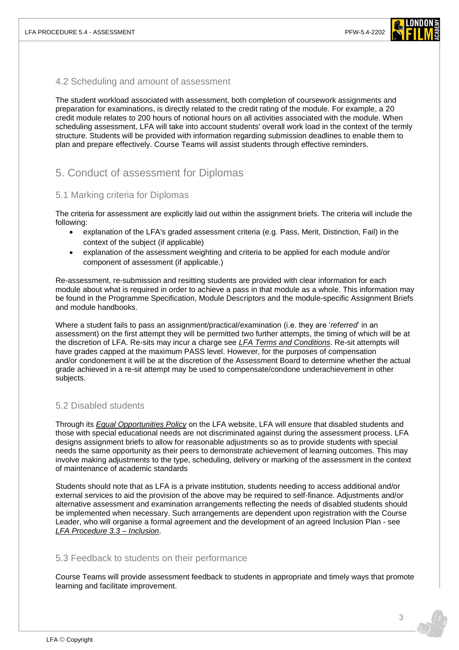

#### 4.2 Scheduling and amount of assessment

The student workload associated with assessment, both completion of coursework assignments and preparation for examinations, is directly related to the credit rating of the module. For example, a 20 credit module relates to 200 hours of notional hours on all activities associated with the module. When scheduling assessment, LFA will take into account students' overall work load in the context of the termly structure. Students will be provided with information regarding submission deadlines to enable them to plan and prepare effectively. Course Teams will assist students through effective reminders.

# 5. Conduct of assessment for Diplomas

### 5.1 Marking criteria for Diplomas

The criteria for assessment are explicitly laid out within the assignment briefs. The criteria will include the following:

- explanation of the LFA's graded assessment criteria (e.g. Pass, Merit, Distinction, Fail) in the context of the subject (if applicable)
- explanation of the assessment weighting and criteria to be applied for each module and/or component of assessment (if applicable.)

Re-assessment, re-submission and resitting students are provided with clear information for each module about what is required in order to achieve a pass in that module as a whole. This information may be found in the Programme Specification, Module Descriptors and the module-specific Assignment Briefs and module handbooks.

Where a student fails to pass an assignment/practical/examination (i.e. they are '*referred*' in an assessment) on the first attempt they will be permitted two further attempts, the timing of which will be at the discretion of LFA. Re-sits may incur a charge see *[LFA Terms and Conditions](https://www.londonfilmacademy.com/LFA_Terms_Conditions.pdf)*. Re-sit attempts will have grades capped at the maximum PASS level. However, for the purposes of compensation and/or condonement it will be at the discretion of the Assessment Board to determine whether the actual grade achieved in a re-sit attempt may be used to compensate/condone underachievement in other subjects.

### 5.2 Disabled students

Through its *[Equal Opportunities Policy](https://www.londonfilmacademy.com/policies-regulations)* on the LFA website, LFA will ensure that disabled students and those with special educational needs are not discriminated against during the assessment process. LFA designs assignment briefs to allow for reasonable adjustments so as to provide students with special needs the same opportunity as their peers to demonstrate achievement of learning outcomes. This may involve making adjustments to the type, scheduling, delivery or marking of the assessment in the context of maintenance of academic standards

Students should note that as LFA is a private institution, students needing to access additional and/or external services to aid the provision of the above may be required to self-finance. Adjustments and/or alternative assessment and examination arrangements reflecting the needs of disabled students should be implemented when necessary. Such arrangements are dependent upon registration with the Course Leader, who will organise a formal agreement and the development of an agreed Inclusion Plan - see *[LFA Procedure 3.3 –](https://www.londonfilmacademy.com/LFA_Procedure_3.3_Inclusion.pdf) Inclusion*.

#### 5.3 Feedback to students on their performance

Course Teams will provide assessment feedback to students in appropriate and timely ways that promote learning and facilitate improvement.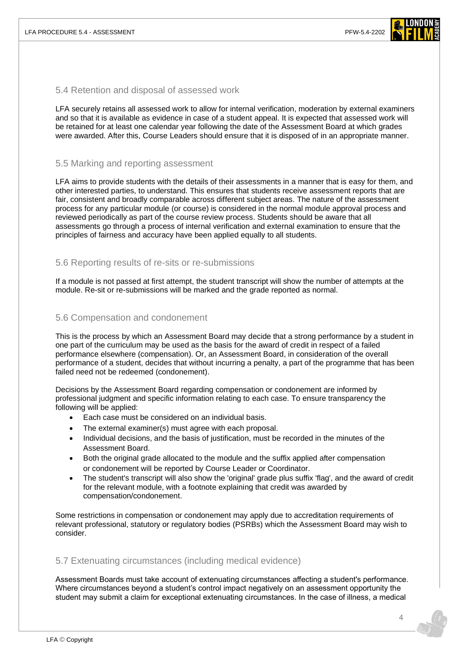

#### 5.4 Retention and disposal of assessed work

LFA securely retains all assessed work to allow for internal verification, moderation by external examiners and so that it is available as evidence in case of a student appeal. It is expected that assessed work will be retained for at least one calendar year following the date of the Assessment Board at which grades were awarded. After this, Course Leaders should ensure that it is disposed of in an appropriate manner.

#### 5.5 Marking and reporting assessment

LFA aims to provide students with the details of their assessments in a manner that is easy for them, and other interested parties, to understand. This ensures that students receive assessment reports that are fair, consistent and broadly comparable across different subject areas. The nature of the assessment process for any particular module (or course) is considered in the normal module approval process and reviewed periodically as part of the course review process. Students should be aware that all assessments go through a process of internal verification and external examination to ensure that the principles of fairness and accuracy have been applied equally to all students.

#### 5.6 Reporting results of re-sits or re-submissions

If a module is not passed at first attempt, the student transcript will show the number of attempts at the module. Re-sit or re-submissions will be marked and the grade reported as normal.

#### 5.6 Compensation and condonement

This is the process by which an Assessment Board may decide that a strong performance by a student in one part of the curriculum may be used as the basis for the award of credit in respect of a failed performance elsewhere (compensation). Or, an Assessment Board, in consideration of the overall performance of a student, decides that without incurring a penalty, a part of the programme that has been failed need not be redeemed (condonement).

Decisions by the Assessment Board regarding compensation or condonement are informed by professional judgment and specific information relating to each case. To ensure transparency the following will be applied:

- Each case must be considered on an individual basis.
- The external examiner(s) must agree with each proposal.
- Individual decisions, and the basis of justification, must be recorded in the minutes of the Assessment Board.
- Both the original grade allocated to the module and the suffix applied after compensation or condonement will be reported by Course Leader or Coordinator.
- The student's transcript will also show the 'original' grade plus suffix 'flag', and the award of credit for the relevant module, with a footnote explaining that credit was awarded by compensation/condonement.

Some restrictions in compensation or condonement may apply due to accreditation requirements of relevant professional, statutory or regulatory bodies (PSRBs) which the Assessment Board may wish to consider.

#### 5.7 Extenuating circumstances (including medical evidence)

Assessment Boards must take account of extenuating circumstances affecting a student's performance. Where circumstances beyond a student's control impact negatively on an assessment opportunity the student may submit a claim for exceptional extenuating circumstances. In the case of illness, a medical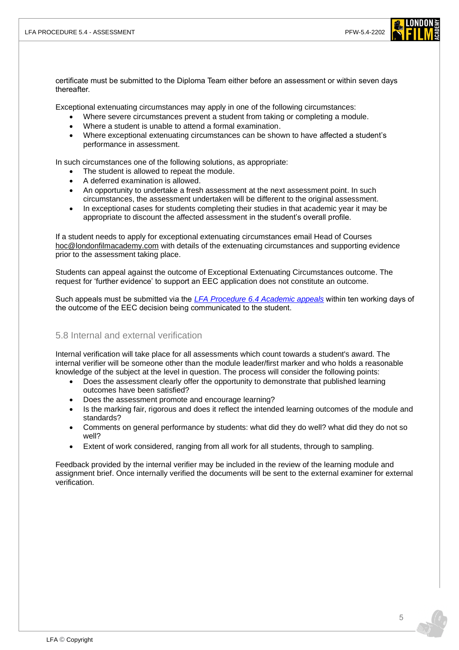

certificate must be submitted to the Diploma Team either before an assessment or within seven days thereafter.

Exceptional extenuating circumstances may apply in one of the following circumstances:

- Where severe circumstances prevent a student from taking or completing a module.
- Where a student is unable to attend a formal examination.
- Where exceptional extenuating circumstances can be shown to have affected a student's performance in assessment.

In such circumstances one of the following solutions, as appropriate:

- The student is allowed to repeat the module.
- A deferred examination is allowed.
- An opportunity to undertake a fresh assessment at the next assessment point. In such circumstances, the assessment undertaken will be different to the original assessment.
- In exceptional cases for students completing their studies in that academic year it may be appropriate to discount the affected assessment in the student's overall profile.

If a student needs to apply for exceptional extenuating circumstances email Head of Courses [hoc@londonfilmacademy.com](mailto:hoc@londonfilmacademy.com) with details of the extenuating circumstances and supporting evidence prior to the assessment taking place.

Students can appeal against the outcome of Exceptional Extenuating Circumstances outcome. The request for 'further evidence' to support an EEC application does not constitute an outcome.

Such appeals must be submitted via the *[LFA Procedure 6.4 Academic appeals](https://www.londonfilmacademy.com/LFA_Procedure_6.4_Academic_appeals.pdf)* within ten working days of the outcome of the EEC decision being communicated to the student.

#### 5.8 Internal and external verification

Internal verification will take place for all assessments which count towards a student's award. The internal verifier will be someone other than the module leader/first marker and who holds a reasonable knowledge of the subject at the level in question. The process will consider the following points:

- Does the assessment clearly offer the opportunity to demonstrate that published learning outcomes have been satisfied?
- Does the assessment promote and encourage learning?
- Is the marking fair, rigorous and does it reflect the intended learning outcomes of the module and standards?
- Comments on general performance by students: what did they do well? what did they do not so well?
- Extent of work considered, ranging from all work for all students, through to sampling.

Feedback provided by the internal verifier may be included in the review of the learning module and assignment brief. Once internally verified the documents will be sent to the external examiner for external verification.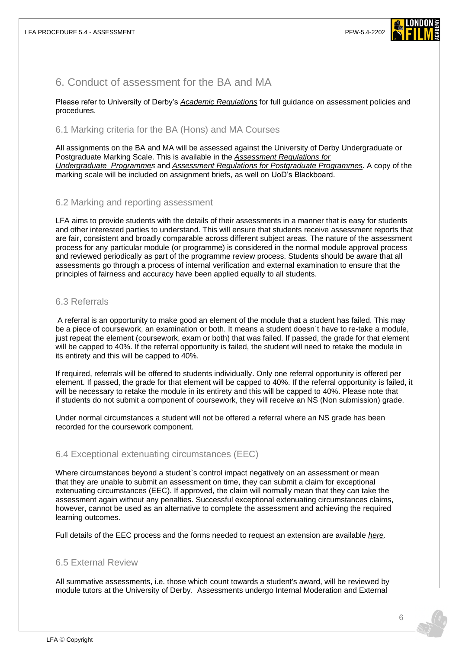

# 6. Conduct of assessment for the BA and MA

Please refer to University of Derby's *[Academic Regulations](https://www.derby.ac.uk/about/academic-regulations/)* for full guidance on assessment policies and procedures.

#### 6.1 Marking criteria for the BA (Hons) and MA Courses

All assignments on the BA and MA will be assessed against the University of Derby Undergraduate or Postgraduate Marking Scale. This is available in the *[Assessment Regulations for](https://www.derby.ac.uk/about/academic-regulations/assessment-regulations-for-undergraduate-programmes/)  [Undergraduate](https://www.derby.ac.uk/about/academic-regulations/assessment-regulations-for-undergraduate-programmes/) Programmes* and *Assessment [Regulations for Postgraduate](https://www.derby.ac.uk/about/academic-regulations/assessment-regulations-for-postgraduate-programmes/) Programmes*. A copy of the marking scale will be included on assignment briefs, as well on UoD's Blackboard.

#### 6.2 Marking and reporting assessment

LFA aims to provide students with the details of their assessments in a manner that is easy for students and other interested parties to understand. This will ensure that students receive assessment reports that are fair, consistent and broadly comparable across different subject areas. The nature of the assessment process for any particular module (or programme) is considered in the normal module approval process and reviewed periodically as part of the programme review process. Students should be aware that all assessments go through a process of internal verification and external examination to ensure that the principles of fairness and accuracy have been applied equally to all students.

#### 6.3 Referrals

A referral is an opportunity to make good an element of the module that a student has failed. This may be a piece of coursework, an examination or both. It means a student doesn`t have to re-take a module, just repeat the element (coursework, exam or both) that was failed. If passed, the grade for that element will be capped to 40%. If the referral opportunity is failed, the student will need to retake the module in its entirety and this will be capped to 40%.

If required, referrals will be offered to students individually. Only one referral opportunity is offered per element. If passed, the grade for that element will be capped to 40%. If the referral opportunity is failed, it will be necessary to retake the module in its entirety and this will be capped to 40%. Please note that if students do not submit a component of coursework, they will receive an NS (Non submission) grade.

Under normal circumstances a student will not be offered a referral where an NS grade has been recorded for the coursework component.

#### 6.4 Exceptional extenuating circumstances (EEC)

Where circumstances beyond a student`s control impact negatively on an assessment or mean that they are unable to submit an assessment on time, they can submit a claim for exceptional extenuating circumstances (EEC). If approved, the claim will normally mean that they can take the assessment again without any penalties. Successful exceptional extenuating circumstances claims, however, cannot be used as an alternative to complete the assessment and achieving the required learning outcomes.

Full details of the EEC process and the forms needed to request an extension are available *[here.](https://www.derby.ac.uk/about/academic-regulations/exceptional-extenuating-circumstances/)*

#### 6.5 External Review

All summative assessments, i.e. those which count towards a student's award, will be reviewed by module tutors at the University of Derby. Assessments undergo Internal Moderation and External